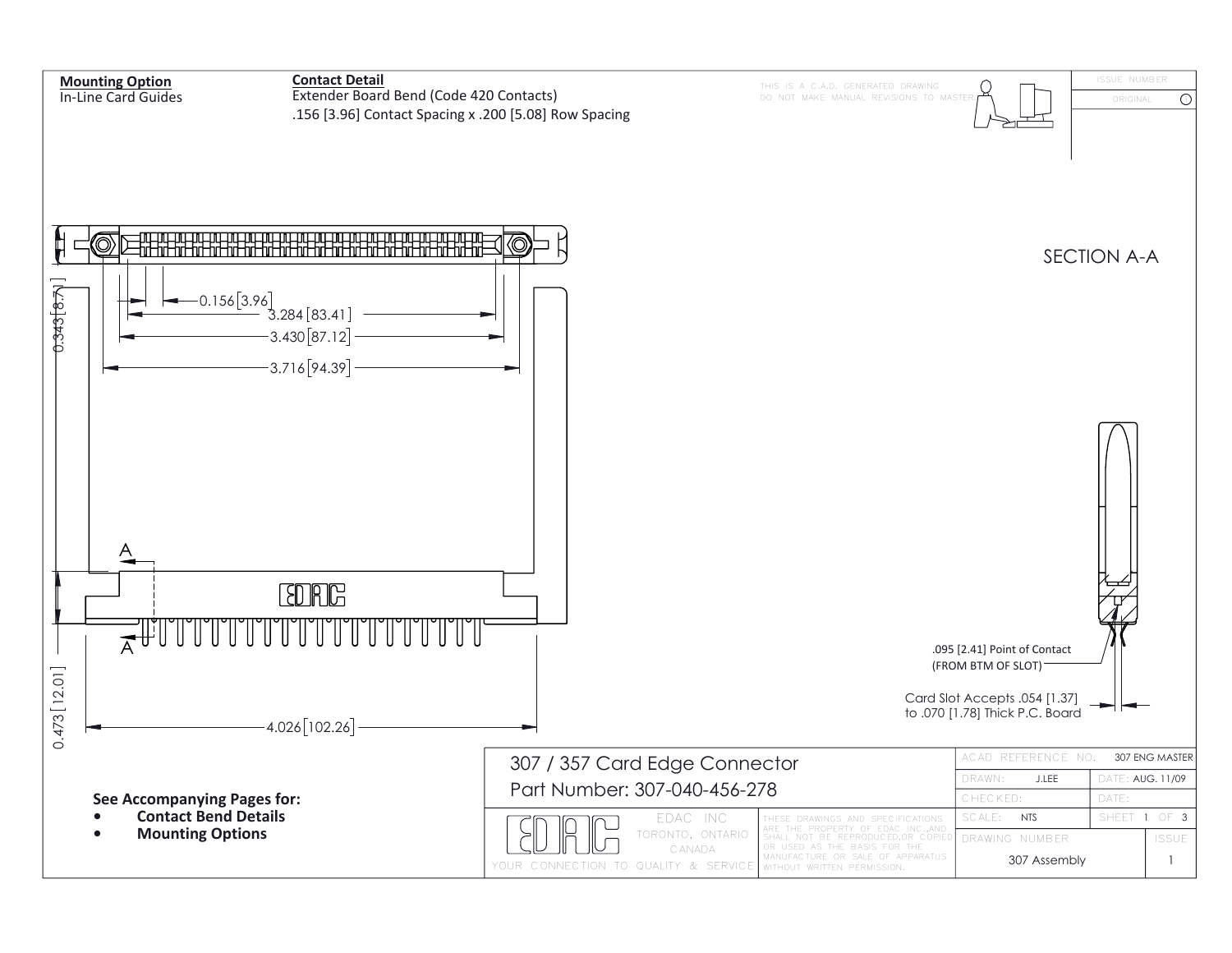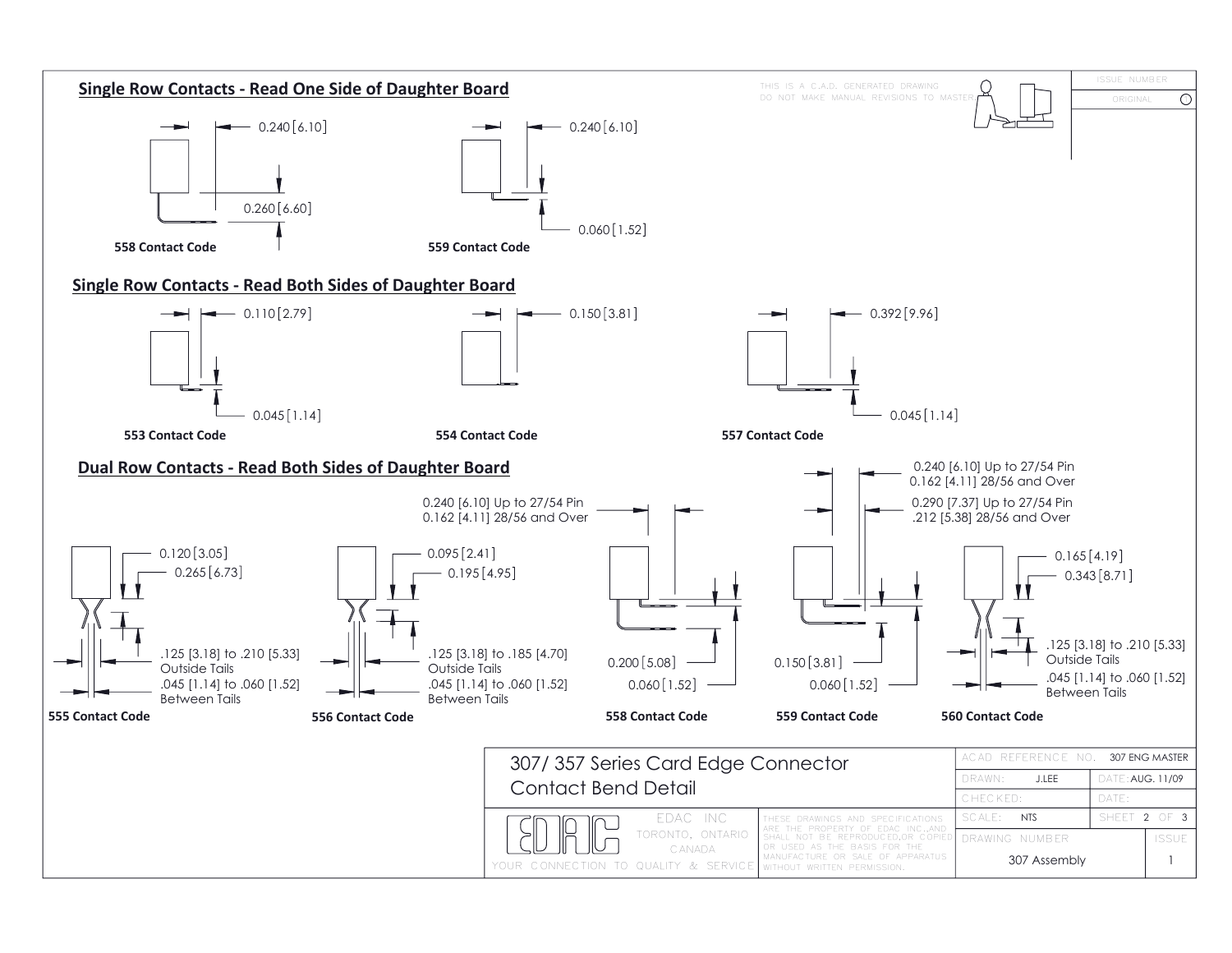